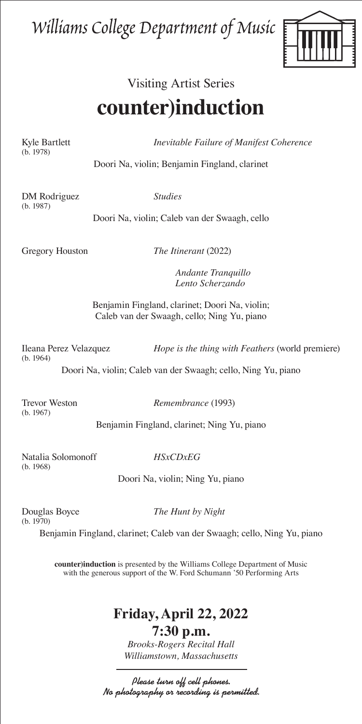## Williams College Department of Music



## Visiting Artist Series **counter)induction**

(b. 1978)

Kyle Bartlett *Inevitable Failure of Manifest Coherence* 

Doori Na, violin; Benjamin Fingland, clarinet

DM Rodriguez *Studies*  (b. 1987)

Doori Na, violin; Caleb van der Swaagh, cello

Gregory Houston *The Itinerant* (2022)

 *Andante Tranquillo Lento Scherzando*

Benjamin Fingland, clarinet; Doori Na, violin; Caleb van der Swaagh, cello; Ning Yu, piano

(b. 1964)

Ileana Perez Velazquez *Hope is the thing with Feathers* (world premiere)

Doori Na, violin; Caleb van der Swaagh; cello, Ning Yu, piano

(b. 1967)

Trevor Weston *Remembrance* (1993)

Benjamin Fingland, clarinet; Ning Yu, piano

Natalia Solomonoff *HSxCDxEG* (b. 1968)

Doori Na, violin; Ning Yu, piano

(b. 1970)

Douglas Boyce *The Hunt by Night*

Benjamin Fingland, clarinet; Caleb van der Swaagh; cello, Ning Yu, piano

**counter)induction** is presented by the Williams College Department of Music with the generous support of the W. Ford Schumann '50 Performing Arts

## **Friday, April 22, 2022**

**7:30 p.m.** *Brooks-Rogers Recital Hall Williamstown, Massachusetts*

Please turn off cell phones. No photography or recording is permitted.